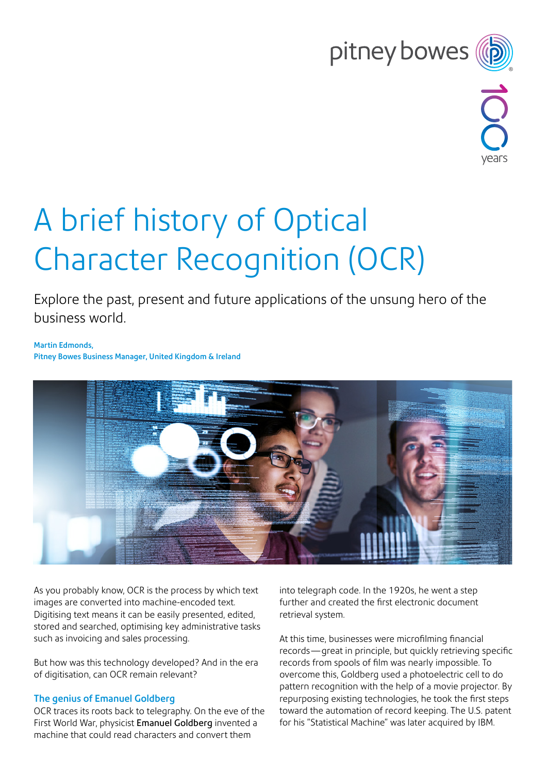# pitney bowes



# A brief history of Optical Character Recognition (OCR)

Explore the past, present and future applications of the unsung hero of the business world.

Martin Edmonds, Pitney Bowes Business Manager, United Kingdom & Ireland



As you probably know, OCR is the process by which text images are converted into machine-encoded text. Digitising text means it can be easily presented, edited, stored and searched, optimising key administrative tasks such as invoicing and sales processing.

But how was this technology developed? And in the era of digitisation, can OCR remain relevant?

## The genius of Emanuel Goldberg

OCR traces its roots back to telegraphy. On the eve of the First World War, physicist [Emanuel Goldberg](https://people.ischool.berkeley.edu/~buckland/statistical.html) invented a machine that could read characters and convert them

into telegraph code. In the 1920s, he went a step further and created the first electronic document retrieval system.

At this time, businesses were microfilming financial records—great in principle, but quickly retrieving specific records from spools of film was nearly impossible. To overcome this, Goldberg used a photoelectric cell to do pattern recognition with the help of a movie projector. By repurposing existing technologies, he took the first steps toward the automation of record keeping. The U.S. patent for his "Statistical Machine" was later acquired by IBM.